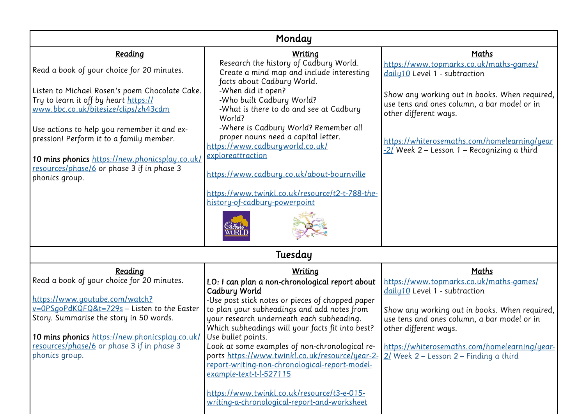| Monday                                                                                                                                                                                               |                                                                                                                                                                                                  |                                                                                                                       |  |
|------------------------------------------------------------------------------------------------------------------------------------------------------------------------------------------------------|--------------------------------------------------------------------------------------------------------------------------------------------------------------------------------------------------|-----------------------------------------------------------------------------------------------------------------------|--|
| Reading                                                                                                                                                                                              | <b>Writing</b>                                                                                                                                                                                   | Maths                                                                                                                 |  |
| Read a book of your choice for 20 minutes.                                                                                                                                                           | Research the history of Cadbury World.<br>Create a mind map and include interesting<br>facts about Cadbury World.                                                                                | https://www.topmarks.co.uk/maths-games/<br>daily10 Level 1 - subtraction                                              |  |
| Listen to Michael Rosen's poem Chocolate Cake.<br>Try to learn it off by heart https://<br>www.bbc.co.uk/bitesize/clips/zh43cdm                                                                      | -When did it open?<br>-Who built Cadbury World?<br>-What is there to do and see at Cadbury<br>World?                                                                                             | Show any working out in books. When required,<br>use tens and ones column, a bar model or in<br>other different ways. |  |
| Use actions to help you remember it and ex-<br>pression! Perform it to a family member.                                                                                                              | -Where is Cadbury World? Remember all<br>proper nouns need a capital letter.<br>https://www.cadburyworld.co.uk/<br>exploreattraction                                                             | https://whiterosemaths.com/homelearning/year<br>-2/ Week 2 – Lesson 1 – Recognizing a third                           |  |
| 10 mins phonics https://new.phonicsplay.co.uk/<br>resources/phase/6 or phase 3 if in phase 3<br>phonics group.                                                                                       | https://www.cadbury.co.uk/about-bournville                                                                                                                                                       |                                                                                                                       |  |
|                                                                                                                                                                                                      | https://www.twinkl.co.uk/resource/t2-t-788-the-<br>history-of-cadbury-powerpoint                                                                                                                 |                                                                                                                       |  |
|                                                                                                                                                                                                      |                                                                                                                                                                                                  |                                                                                                                       |  |
|                                                                                                                                                                                                      | Tuesday                                                                                                                                                                                          |                                                                                                                       |  |
| Reading<br>Read a book of your choice for 20 minutes.                                                                                                                                                | Writing<br>LO: I can plan a non-chronological report about<br>Cadbury World                                                                                                                      | Maths<br>https://www.topmarks.co.uk/maths-games/<br>daily10 Level 1 - subtraction                                     |  |
| https://www.youtube.com/watch?<br>v=0PSgoPdKQFQ&t=729s - Listen to the Easter<br>Story. Summarise the story in 50 words.<br><b>10 mins phonics</b> https://new.phonicsplay.co.uk/ Use bullet points. | -Use post stick notes or pieces of chopped paper<br>to plan your subheadings and add notes from<br>your research underneath each subheading.<br>Which subheadings will your facts fit into best? | Show any working out in books. When required,<br>use tens and ones column, a bar model or in<br>other different ways. |  |
| resources/phase/6 or phase 3 if in phase 3<br>phonics group.                                                                                                                                         | Look at some examples of non-chronological re-<br>ports https://www.twinkl.co.uk/resource/year-2-<br>report-writing-non-chronological-report-model-<br>example-text-t-l-527115                   | https://whiterosemaths.com/homelearning/year-<br>$21$ Week 2 – Lesson 2 – Finding a third                             |  |
|                                                                                                                                                                                                      | https://www.twinkl.co.uk/resource/t3-e-015-<br>writing-a-chronological-report-and-worksheet                                                                                                      |                                                                                                                       |  |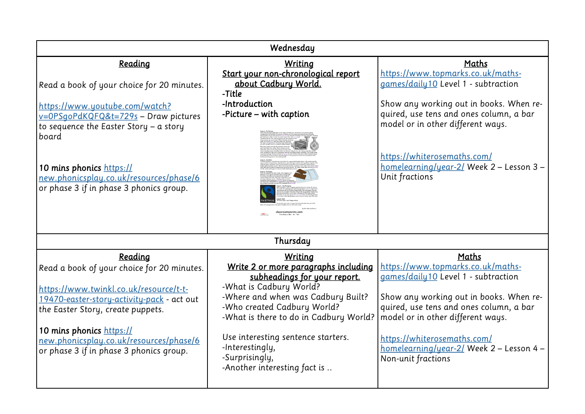| Wednesday                                                                                                                                                               |                                                                                                                                                                                                                |                                                                                                                                                                                                     |  |
|-------------------------------------------------------------------------------------------------------------------------------------------------------------------------|----------------------------------------------------------------------------------------------------------------------------------------------------------------------------------------------------------------|-----------------------------------------------------------------------------------------------------------------------------------------------------------------------------------------------------|--|
| Reading                                                                                                                                                                 | <b>Writing</b><br>Start your non-chronological report                                                                                                                                                          | Maths<br>https://www.topmarks.co.uk/maths-                                                                                                                                                          |  |
| Read a book of your choice for 20 minutes.                                                                                                                              | about Cadbury World.<br>-Title                                                                                                                                                                                 | games/daily10 Level 1 - subtraction                                                                                                                                                                 |  |
| https://www.youtube.com/watch?<br>v=0PSgoPdKQFQ&t=729s - Draw pictures<br>to sequence the Easter Story $-$ a story<br>board<br>10 mins phonics https://                 | -Introduction<br>-Picture - with caption                                                                                                                                                                       | Show any working out in books. When re-<br>quired, use tens and ones column, a bar<br>model or in other different ways.<br>https://whiterosemaths.com/<br>homelearning/year-2/ Week 2 - Lesson 3 -  |  |
| new.phonicsplay.co.uk/resources/phase/6<br>or phase 3 if in phase 3 phonics group.                                                                                      | Thursday                                                                                                                                                                                                       | Unit fractions                                                                                                                                                                                      |  |
| Reading                                                                                                                                                                 | <b>Writing</b>                                                                                                                                                                                                 | Maths                                                                                                                                                                                               |  |
| Read a book of your choice for 20 minutes.<br>https://www.twinkl.co.uk/resource/t-t-<br>19470-easter-story-activity-pack - act out<br>the Easter Story, create puppets. | Write 2 or more paragraphs including<br>subheadings for your report.<br>-What is Cadbury World?<br>-Where and when was Cadbury Built?<br>-Who created Cadbury World?<br>-What is there to do in Cadbury World? | https://www.topmarks.co.uk/maths-<br>games/daily10 Level 1 - subtraction<br>Show any working out in books. When re-<br>quired, use tens and ones column, a bar<br>model or in other different ways. |  |
| 10 mins phonics https://<br>new.phonicsplay.co.uk/resources/phase/6<br>or phase 3 if in phase 3 phonics group.                                                          | Use interesting sentence starters.<br>-Interestingly,<br>-Surprisingly,<br>-Another interesting fact is                                                                                                        | https://whiterosemaths.com/<br>homelearning/year-2/ Week 2 - Lesson 4 -<br>Non-unit fractions                                                                                                       |  |